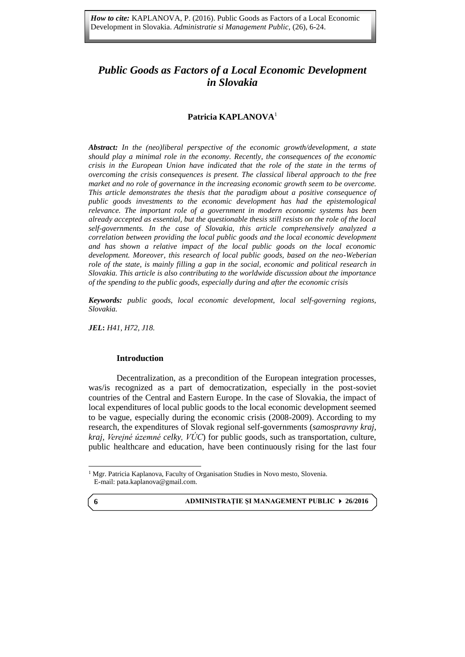# *Public Goods as Factors of a Local Economic Development in Slovakia*

**Public Goods as Factors of a Local Economic Development t in Slovakia**

# **Patricia KAPLANOVA**<sup>1</sup>

*Abstract: In the (neo)liberal perspective of the economic growth/development, a state should play a minimal role in the economy. Recently, the consequences of the economic crisis in the European Union have indicated that the role of the state in the terms of overcoming the crisis consequences is present. The classical liberal approach to the free market and no role of governance in the increasing economic growth seem to be overcome. This article demonstrates the thesis that the paradigm about a positive consequence of public goods investments to the economic development has had the epistemological relevance. The important role of a government in modern economic systems has been already accepted as essential, but the questionable thesis still resists on the role of the local self-governments. In the case of Slovakia, this article comprehensively analyzed a correlation between providing the local public goods and the local economic development and has shown a relative impact of the local public goods on the local economic development. Moreover, this research of local public goods, based on the neo-Weberian role of the state, is mainly filling a gap in the social, economic and political research in Slovakia. This article is also contributing to the worldwide discussion about the importance of the spending to the public goods, especially during and after the economic crisis*

*Keywords: public goods, local economic development, local self-governing regions, Slovakia.*

*JEL***:** *H41, H72, J18.*

### **Introduction**

Decentralization, as a precondition of the European integration processes, was/is recognized as a part of democratization, especially in the post-soviet countries of the Central and Eastern Europe. In the case of Slovakia, the impact of local expenditures of local public goods to the local economic development seemed to be vague, especially during the economic crisis (2008-2009). According to my research, the expenditures of Slovak regional self-governments (*samospravny kraj, kraj, Verejné územné celky, VÚC*) for public goods, such as transportation, culture, public healthcare and education, have been continuously rising for the last four

**ADMINISTRAŢIE ŞI MANAGEMENT PUBLIC 26/2016**

**6**

 $\overline{a}$ 

<sup>&</sup>lt;sup>1</sup> Mgr. Patricia Kaplanova, Faculty of Organisation Studies in Novo mesto, Slovenia. E-mail: [pata.kaplanova@gmail.com.](mailto:pata.kaplanova@gmail.com)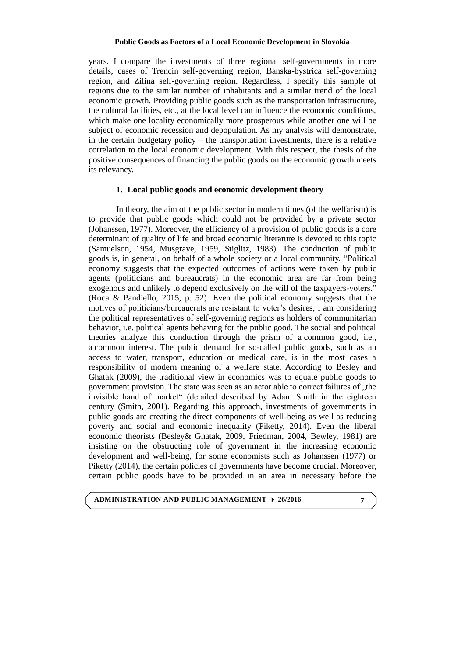years. I compare the investments of three regional self-governments in more details, cases of Trencin self-governing region, Banska-bystrica self-governing region, and Zilina self-governing region. Regardless, I specify this sample of regions due to the similar number of inhabitants and a similar trend of the local economic growth. Providing public goods such as the transportation infrastructure, the cultural facilities, etc., at the local level can influence the economic conditions, which make one locality economically more prosperous while another one will be subject of economic recession and depopulation. As my analysis will demonstrate, in the certain budgetary policy – the transportation investments, there is a relative correlation to the local economic development. With this respect, the thesis of the positive consequences of financing the public goods on the economic growth meets its relevancy.

### **1. Local public goods and economic development theory**

In theory, the aim of the public sector in modern times (of the welfarism) is to provide that public goods which could not be provided by a private sector (Johanssen, 1977). Moreover, the efficiency of a provision of public goods is a core determinant of quality of life and broad economic literature is devoted to this topic (Samuelson, 1954, Musgrave, 1959, Stiglitz, 1983). The conduction of public goods is, in general, on behalf of a whole society or a local community. "Political economy suggests that the expected outcomes of actions were taken by public agents (politicians and bureaucrats) in the economic area are far from being exogenous and unlikely to depend exclusively on the will of the taxpayers-voters." (Roca & Pandiello, 2015, p. 52). Even the political economy suggests that the motives of politicians/bureaucrats are resistant to voter's desires, I am considering the political representatives of self-governing regions as holders of communitarian behavior, i.e. political agents behaving for the public good. The social and political theories analyze this conduction through the prism of a common good, i.e., a common interest. The public demand for so-called public goods, such as an access to water, transport, education or medical care, is in the most cases a responsibility of modern meaning of a welfare state. According to Besley and Ghatak (2009), the traditional view in economics was to equate public goods to government provision. The state was seen as an actor able to correct failures of "the invisible hand of market" (detailed described by Adam Smith in the eighteen century (Smith, 2001). Regarding this approach, investments of governments in public goods are creating the direct components of well-being as well as reducing poverty and social and economic inequality (Piketty, 2014). Even the liberal economic theorists (Besley& Ghatak, 2009, Friedman, 2004, Bewley, 1981) are insisting on the obstructing role of government in the increasing economic development and well-being, for some economists such as Johanssen (1977) or Piketty (2014), the certain policies of governments have become crucial. Moreover, certain public goods have to be provided in an area in necessary before the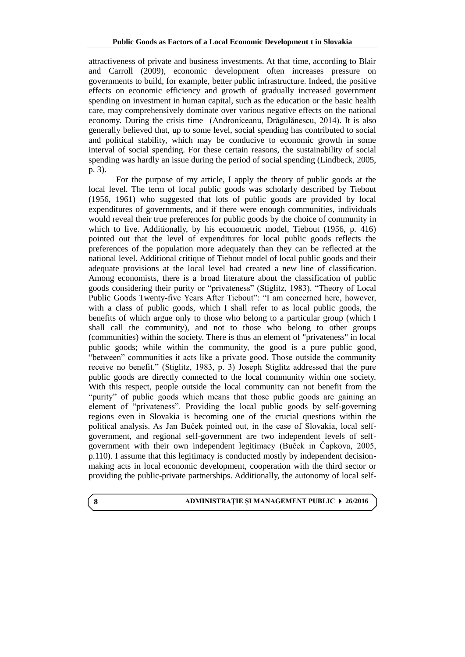attractiveness of private and business investments. At that time, according to Blair and Carroll (2009), economic development often increases pressure on governments to build, for example, better public infrastructure. Indeed, the positive effects on economic efficiency and growth of gradually increased government spending on investment in human capital, such as the education or the basic health care, may comprehensively dominate over various negative effects on the national economy. During the crisis time (Androniceanu, Drăgulănescu, 2014). It is also generally believed that, up to some level, social spending has contributed to social and political stability, which may be conducive to economic growth in some interval of social spending. For these certain reasons, the sustainability of social spending was hardly an issue during the period of social spending (Lindbeck, 2005, p. 3).

For the purpose of my article, I apply the theory of public goods at the local level. The term of local public goods was scholarly described by Tiebout (1956, 1961) who suggested that lots of public goods are provided by local expenditures of governments, and if there were enough communities, individuals would reveal their true preferences for public goods by the choice of community in which to live. Additionally, by his econometric model, Tiebout (1956, p. 416) pointed out that the level of expenditures for local public goods reflects the preferences of the population more adequately than they can be reflected at the national level. Additional critique of Tiebout model of local public goods and their adequate provisions at the local level had created a new line of classification. Among economists, there is a broad literature about the classification of public goods considering their purity or "privateness" (Stiglitz, 1983). "Theory of Local Public Goods Twenty-five Years After Tiebout": "I am concerned here, however, with a class of public goods, which I shall refer to as local public goods, the benefits of which argue only to those who belong to a particular group (which I shall call the community), and not to those who belong to other groups (communities) within the society. There is thus an element of "privateness" in local public goods; while within the community, the good is a pure public good, "between" communities it acts like a private good. Those outside the community receive no benefit." (Stiglitz, 1983, p. 3) Joseph Stiglitz addressed that the pure public goods are directly connected to the local community within one society. With this respect, people outside the local community can not benefit from the "purity" of public goods which means that those public goods are gaining an element of "privateness". Providing the local public goods by self-governing regions even in Slovakia is becoming one of the crucial questions within the political analysis. As Jan Buček pointed out, in the case of Slovakia, local selfgovernment, and regional self-government are two independent levels of selfgovernment with their own independent legitimacy (Buček in Čapkova, 2005, p.110). I assume that this legitimacy is conducted mostly by independent decisionmaking acts in local economic development, cooperation with the third sector or providing the public-private partnerships. Additionally, the autonomy of local self-

**8**

### **ADMINISTRAŢIE ŞI MANAGEMENT PUBLIC 26/2016**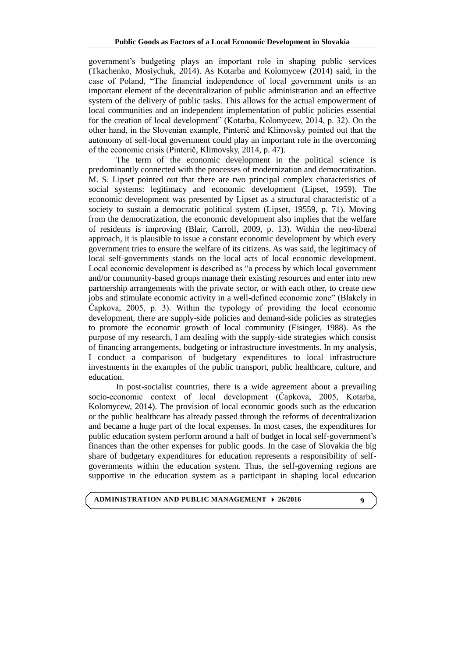government's budgeting plays an important role in shaping public services (Tkachenko, Mosiychuk, 2014). As Kotarba and Kolomycew (2014) said, in the case of Poland, "The financial independence of local government units is an important element of the decentralization of public administration and an effective system of the delivery of public tasks. This allows for the actual empowerment of local communities and an independent implementation of public policies essential for the creation of local development" (Kotarba, Kolomycew, 2014, p. 32). On the other hand, in the Slovenian example, Pinterič and Klimovsky pointed out that the autonomy of self-local government could play an important role in the overcoming of the economic crisis (Pinterič, Klimovsky, 2014, p. 47).

The term of the economic development in the political science is predominantly connected with the processes of modernization and democratization. M. S. Lipset pointed out that there are two principal complex characteristics of social systems: legitimacy and economic development (Lipset, 1959). The economic development was presented by Lipset as a structural characteristic of a society to sustain a democratic political system (Lipset, 19559, p. 71). Moving from the democratization, the economic development also implies that the welfare of residents is improving (Blair, Carroll, 2009, p. 13). Within the neo-liberal approach, it is plausible to issue a constant economic development by which every government tries to ensure the welfare of its citizens. As was said, the legitimacy of local self-governments stands on the local acts of local economic development. Local economic development is described as "a process by which local government and/or community-based groups manage their existing resources and enter into new partnership arrangements with the private sector, or with each other, to create new jobs and stimulate economic activity in a well-defined economic zone" (Blakely in Čapkova, 2005, p. 3). Within the typology of providing the local economic development, there are supply-side policies and demand-side policies as strategies to promote the economic growth of local community (Eisinger, 1988). As the purpose of my research, I am dealing with the supply-side strategies which consist of financing arrangements, budgeting or infrastructure investments. In my analysis, I conduct a comparison of budgetary expenditures to local infrastructure investments in the examples of the public transport, public healthcare, culture, and education.

In post-socialist countries, there is a wide agreement about a prevailing socio-economic context of local development (Čapkova, 2005, Kotarba, Kolomycew, 2014). The provision of local economic goods such as the education or the public healthcare has already passed through the reforms of decentralization and became a huge part of the local expenses. In most cases, the expenditures for public education system perform around a half of budget in local self-government's finances than the other expenses for public goods. In the case of Slovakia the big share of budgetary expenditures for education represents a responsibility of selfgovernments within the education system. Thus, the self-governing regions are supportive in the education system as a participant in shaping local education

# **ADMINISTRATION AND PUBLIC MANAGEMENT 26/2016**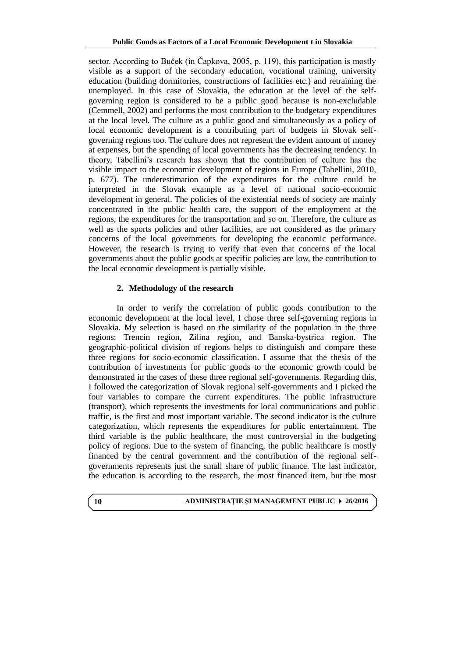sector. According to Buček (in Čapkova, 2005, p. 119), this participation is mostly visible as a support of the secondary education, vocational training, university education (building dormitories, constructions of facilities etc.) and retraining the unemployed. In this case of Slovakia, the education at the level of the selfgoverning region is considered to be a public good because is non-excludable (Cemmell, 2002) and performs the most contribution to the budgetary expenditures at the local level. The culture as a public good and simultaneously as a policy of local economic development is a contributing part of budgets in Slovak selfgoverning regions too. The culture does not represent the evident amount of money at expenses, but the spending of local governments has the decreasing tendency. In theory, Tabellini's research has shown that the contribution of culture has the visible impact to the economic development of regions in Europe (Tabellini, 2010, p. 677). The underestimation of the expenditures for the culture could be interpreted in the Slovak example as a level of national socio-economic development in general. The policies of the existential needs of society are mainly concentrated in the public health care, the support of the employment at the regions, the expenditures for the transportation and so on. Therefore, the culture as well as the sports policies and other facilities, are not considered as the primary concerns of the local governments for developing the economic performance. However, the research is trying to verify that even that concerns of the local governments about the public goods at specific policies are low, the contribution to the local economic development is partially visible.

# **2. Methodology of the research**

In order to verify the correlation of public goods contribution to the economic development at the local level, I chose three self-governing regions in Slovakia. My selection is based on the similarity of the population in the three regions: Trencin region, Zilina region, and Banska-bystrica region. The geographic-political division of regions helps to distinguish and compare these three regions for socio-economic classification. I assume that the thesis of the contribution of investments for public goods to the economic growth could be demonstrated in the cases of these three regional self-governments. Regarding this, I followed the categorization of Slovak regional self-governments and I picked the four variables to compare the current expenditures. The public infrastructure (transport), which represents the investments for local communications and public traffic, is the first and most important variable. The second indicator is the culture categorization, which represents the expenditures for public entertainment. The third variable is the public healthcare, the most controversial in the budgeting policy of regions. Due to the system of financing, the public healthcare is mostly financed by the central government and the contribution of the regional selfgovernments represents just the small share of public finance. The last indicator, the education is according to the research, the most financed item, but the most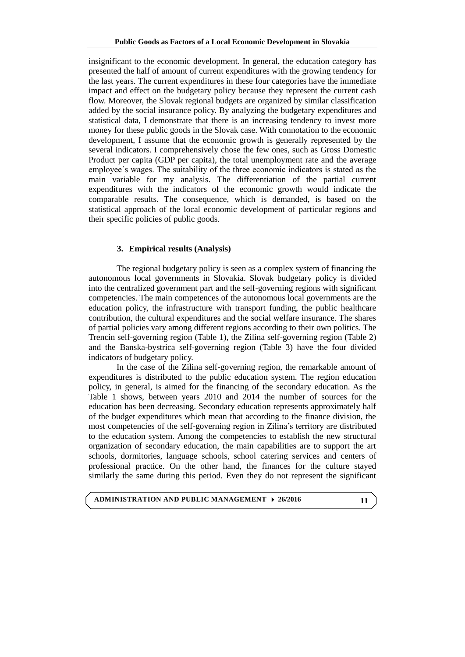insignificant to the economic development. In general, the education category has presented the half of amount of current expenditures with the growing tendency for the last years. The current expenditures in these four categories have the immediate impact and effect on the budgetary policy because they represent the current cash flow. Moreover, the Slovak regional budgets are organized by similar classification added by the social insurance policy. By analyzing the budgetary expenditures and statistical data, I demonstrate that there is an increasing tendency to invest more money for these public goods in the Slovak case. With connotation to the economic development, I assume that the economic growth is generally represented by the several indicators. I comprehensively chose the few ones, such as Gross Domestic Product per capita (GDP per capita), the total unemployment rate and the average employee´s wages. The suitability of the three economic indicators is stated as the main variable for my analysis. The differentiation of the partial current expenditures with the indicators of the economic growth would indicate the comparable results. The consequence, which is demanded, is based on the statistical approach of the local economic development of particular regions and their specific policies of public goods.

### **3. Empirical results (Analysis)**

The regional budgetary policy is seen as a complex system of financing the autonomous local governments in Slovakia. Slovak budgetary policy is divided into the centralized government part and the self-governing regions with significant competencies. The main competences of the autonomous local governments are the education policy, the infrastructure with transport funding, the public healthcare contribution, the cultural expenditures and the social welfare insurance. The shares of partial policies vary among different regions according to their own politics. The Trencin self-governing region (Table 1), the Zilina self-governing region (Table 2) and the Banska-bystrica self-governing region (Table 3) have the four divided indicators of budgetary policy.

In the case of the Zilina self-governing region, the remarkable amount of expenditures is distributed to the public education system. The region education policy, in general, is aimed for the financing of the secondary education. As the Table 1 shows, between years 2010 and 2014 the number of sources for the education has been decreasing. Secondary education represents approximately half of the budget expenditures which mean that according to the finance division, the most competencies of the self-governing region in Zilina's territory are distributed to the education system. Among the competencies to establish the new structural organization of secondary education, the main capabilities are to support the art schools, dormitories, language schools, school catering services and centers of professional practice. On the other hand, the finances for the culture stayed similarly the same during this period. Even they do not represent the significant

# **ADMINISTRATION AND PUBLIC MANAGEMENT 26/2016**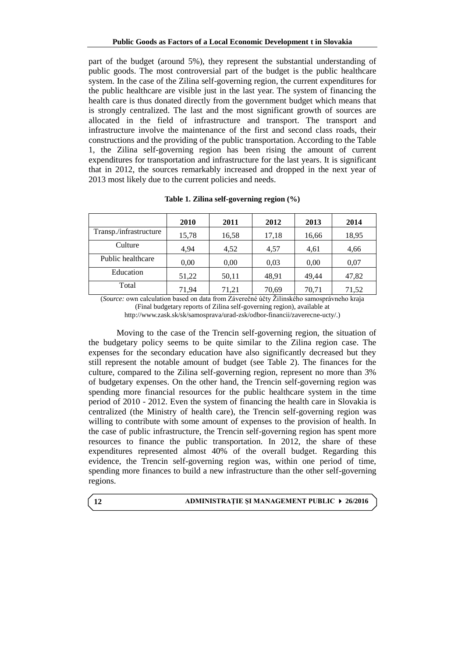part of the budget (around 5%), they represent the substantial understanding of public goods. The most controversial part of the budget is the public healthcare system. In the case of the Zilina self-governing region, the current expenditures for the public healthcare are visible just in the last year. The system of financing the health care is thus donated directly from the government budget which means that is strongly centralized. The last and the most significant growth of sources are allocated in the field of infrastructure and transport. The transport and infrastructure involve the maintenance of the first and second class roads, their constructions and the providing of the public transportation. According to the Table 1, the Zilina self-governing region has been rising the amount of current expenditures for transportation and infrastructure for the last years. It is significant that in 2012, the sources remarkably increased and dropped in the next year of 2013 most likely due to the current policies and needs.

|                        | 2010  | 2011  | 2012  | 2013  | 2014  |
|------------------------|-------|-------|-------|-------|-------|
| Transp./infrastructure | 15,78 | 16,58 | 17,18 | 16,66 | 18,95 |
| Culture                | 4,94  | 4,52  | 4,57  | 4,61  | 4,66  |
| Public healthcare      | 0,00  | 0.00  | 0.03  | 0,00  | 0.07  |
| Education              | 51,22 | 50,11 | 48,91 | 49.44 | 47,82 |
| Total                  | 71.94 | 71,21 | 70,69 | 70,71 | 71,52 |

**Table 1. Zilina self-governing region (%)**

(*Source:* own calculation based on data from Záverečné účty Žilinského samosprávneho kraja (Final budgetary reports of Zilina self-governing region), available at [http://www.zask.sk/sk/samosprava/urad-zsk/odbor-financii/zaverecne-ucty/.\)](http://www.zask.sk/sk/samosprava/urad-zsk/odbor-financii/zaverecne-ucty/)

Moving to the case of the Trencin self-governing region, the situation of the budgetary policy seems to be quite similar to the Zilina region case. The expenses for the secondary education have also significantly decreased but they still represent the notable amount of budget (see Table 2). The finances for the culture, compared to the Zilina self-governing region, represent no more than 3% of budgetary expenses. On the other hand, the Trencin self-governing region was spending more financial resources for the public healthcare system in the time period of 2010 - 2012. Even the system of financing the health care in Slovakia is centralized (the Ministry of health care), the Trencin self-governing region was willing to contribute with some amount of expenses to the provision of health. In the case of public infrastructure, the Trencin self-governing region has spent more resources to finance the public transportation. In 2012, the share of these expenditures represented almost 40% of the overall budget. Regarding this evidence, the Trencin self-governing region was, within one period of time, spending more finances to build a new infrastructure than the other self-governing regions.

### **ADMINISTRAŢIE ŞI MANAGEMENT PUBLIC 26/2016**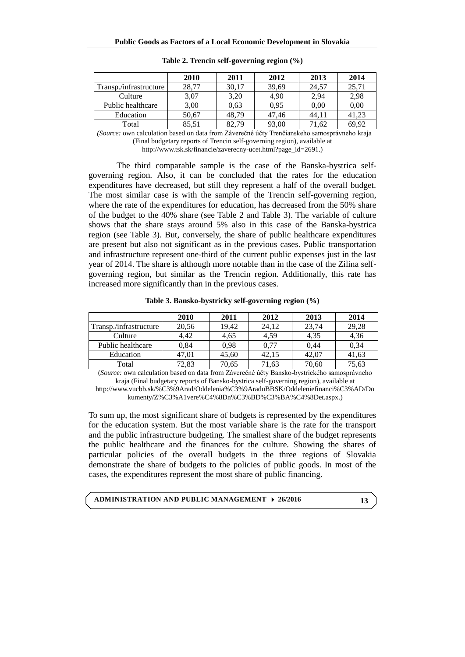|                        | 2010  | 2011  | 2012  | 2013  | 2014  |
|------------------------|-------|-------|-------|-------|-------|
| Transp./infrastructure | 28,77 | 30,17 | 39,69 | 24,57 | 25,71 |
| Culture                | 3,07  | 3,20  | 4.90  | 2,94  | 2,98  |
| Public healthcare      | 3,00  | 0.63  | 0.95  | 0.00  | 0,00  |
| Education              | 50,67 | 48.79 | 47.46 | 44.11 | 41.23 |
| Total                  | 85,51 | 82.79 | 93,00 | 71.62 | 69.92 |

**Table 2. Trencin self-governing region (%)**

 *(Source:* own calculation based on data from Záverečné účty Trenčianskeho samosprávneho kraja (Final budgetary reports of Trencin self-governing region), available at [http://www.tsk.sk/financie/zaverecny-ucet.html?page\\_id=2691.](http://www.tsk.sk/financie/zaverecny-ucet.html?page_id=2691))

The third comparable sample is the case of the Banska-bystrica selfgoverning region. Also, it can be concluded that the rates for the education expenditures have decreased, but still they represent a half of the overall budget. The most similar case is with the sample of the Trencin self-governing region, where the rate of the expenditures for education, has decreased from the 50% share of the budget to the 40% share (see Table 2 and Table 3). The variable of culture shows that the share stays around 5% also in this case of the Banska-bystrica region (see Table 3). But, conversely, the share of public healthcare expenditures are present but also not significant as in the previous cases. Public transportation and infrastructure represent one-third of the current public expenses just in the last year of 2014. The share is although more notable than in the case of the Zilina selfgoverning region, but similar as the Trencin region. Additionally, this rate has increased more significantly than in the previous cases.

|                        | 2010  | 2011  | 2012  | 2013  | 2014  |
|------------------------|-------|-------|-------|-------|-------|
| Transp./infrastructure | 20,56 | 19.42 | 24.12 | 23,74 | 29,28 |
| Culture                | 4.42  | 4,65  | 4,59  | 4,35  | 4,36  |
| Public healthcare      | 0.84  | 0.98  | 0.77  | 0.44  | 0,34  |
| Education              | 47,01 | 45,60 | 42.15 | 42,07 | 41,63 |
| Total                  | 72.83 | 70.65 | 71,63 | 70,60 | 75,63 |

**Table 3. Bansko-bystricky self-governing region (%)**

(*Source:* own calculation based on data from Záverečné účty Bansko-bystrického samosprávneho kraja (Final budgetary reports of Bansko-bystrica self-governing region), available at

[http://www.vucbb.sk/%C3%9Arad/Oddelenia%C3%9AraduBBSK/Oddeleniefinanci%C3%AD/Do](http://www.vucbb.sk/%C3%9Arad/Oddelenia%C3%9AraduBBSK/Oddeleniefinanci%C3%AD/Dokumenty/Z%C3%A1vere%C4%8Dn%C3%BD%C3%BA%C4%8Det.aspx) [kumenty/Z%C3%A1vere%C4%8Dn%C3%BD%C3%BA%C4%8Det.aspx.\)](http://www.vucbb.sk/%C3%9Arad/Oddelenia%C3%9AraduBBSK/Oddeleniefinanci%C3%AD/Dokumenty/Z%C3%A1vere%C4%8Dn%C3%BD%C3%BA%C4%8Det.aspx)

To sum up, the most significant share of budgets is represented by the expenditures for the education system. But the most variable share is the rate for the transport and the public infrastructure budgeting. The smallest share of the budget represents the public healthcare and the finances for the culture. Showing the shares of particular policies of the overall budgets in the three regions of Slovakia demonstrate the share of budgets to the policies of public goods. In most of the cases, the expenditures represent the most share of public financing.

# **ADMINISTRATION AND PUBLIC MANAGEMENT 26/2016**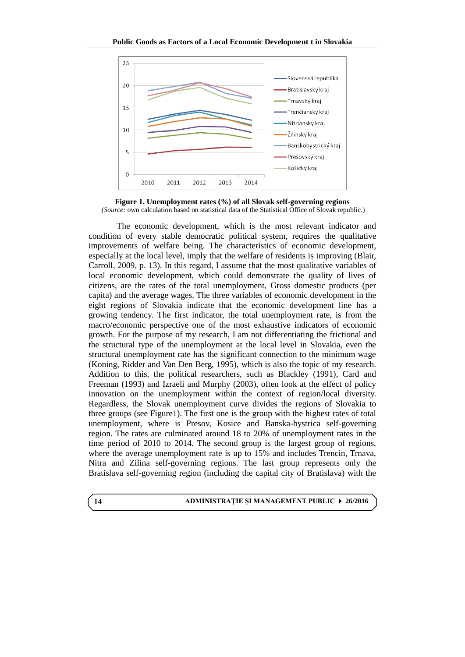

**Figure 1. Unemployment rates (%) of all Slovak self-governing regions** *(Source:* own calculation based on statistical data of the Statistical Office of Slovak republic.)

The economic development, which is the most relevant indicator and condition of every stable democratic political system, requires the qualitative improvements of welfare being. The characteristics of economic development, especially at the local level, imply that the welfare of residents is improving (Blair, Carroll, 2009, p. 13). In this regard, I assume that the most qualitative variables of local economic development, which could demonstrate the quality of lives of citizens, are the rates of the total unemployment, Gross domestic products (per capita) and the average wages. The three variables of economic development in the eight regions of Slovakia indicate that the economic development line has a growing tendency. The first indicator, the total unemployment rate, is from the macro/economic perspective one of the most exhaustive indicators of economic growth. For the purpose of my research, I am not differentiating the frictional and the structural type of the unemployment at the local level in Slovakia, even the structural unemployment rate has the significant connection to the minimum wage (Koning, Ridder and Van Den Berg, 1995), which is also the topic of my research. Addition to this, the political researchers, such as Blackley (1991), Card and Freeman (1993) and Izraeli and Murphy (2003), often look at the effect of policy innovation on the unemployment within the context of region/local diversity. Regardless, the Slovak unemployment curve divides the regions of Slovakia to three groups (see Figure1). The first one is the group with the highest rates of total unemployment, where is Presov, Kosice and Banska-bystrica self-governing region. The rates are culminated around 18 to 20% of unemployment rates in the time period of 2010 to 2014. The second group is the largest group of regions, where the average unemployment rate is up to 15% and includes Trencin, Trnava, Nitra and Zilina self-governing regions. The last group represents only the Bratislava self-governing region (including the capital city of Bratislava) with the

**14**

#### **ADMINISTRAŢIE ŞI MANAGEMENT PUBLIC 26/2016**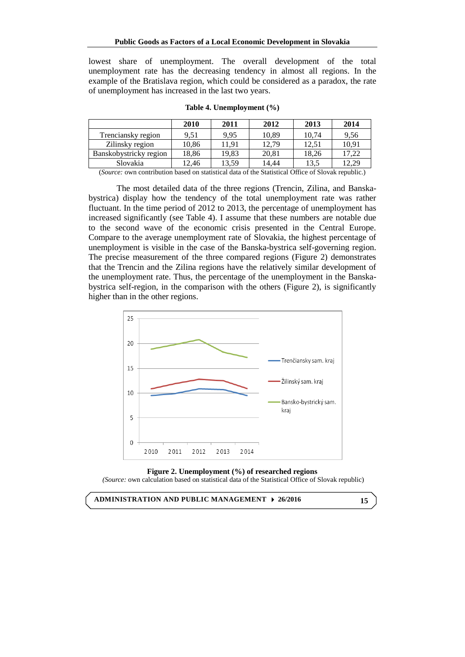lowest share of unemployment. The overall development of the total unemployment rate has the decreasing tendency in almost all regions. In the example of the Bratislava region, which could be considered as a paradox, the rate of unemployment has increased in the last two years.

|                        | 2010  | 2011  | 2012  | 2013  | 2014  |
|------------------------|-------|-------|-------|-------|-------|
| Trenciansky region     | 9,51  | 9.95  | 10,89 | 10,74 | 9,56  |
| Zilinsky region        | 10,86 | 11.91 | 12.79 | 12.51 | 10,91 |
| Banskobystricky region | 18,86 | 19,83 | 20,81 | 18,26 | 17,22 |
| Slovakia               | 12.46 | 13,59 | 14.44 | 13.5  | 12,29 |

**Table 4. Unemployment (%)**

(*Source:* own contribution based on statistical data of the Statistical Office of Slovak republic.)

The most detailed data of the three regions (Trencin, Zilina, and Banskabystrica) display how the tendency of the total unemployment rate was rather fluctuant. In the time period of 2012 to 2013, the percentage of unemployment has increased significantly (see Table 4). I assume that these numbers are notable due to the second wave of the economic crisis presented in the Central Europe. Compare to the average unemployment rate of Slovakia, the highest percentage of unemployment is visible in the case of the Banska-bystrica self-governing region. The precise measurement of the three compared regions (Figure 2) demonstrates that the Trencin and the Zilina regions have the relatively similar development of the unemployment rate. Thus, the percentage of the unemployment in the Banskabystrica self-region, in the comparison with the others (Figure 2), is significantly higher than in the other regions.





*(Source:* own calculation based on statistical data of the Statistical Office of Slovak republic)

**ADMINISTRATION AND PUBLIC MANAGEMENT 26/2016**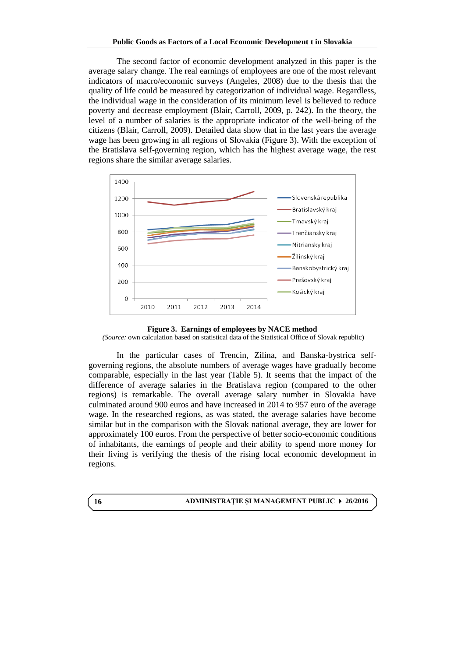The second factor of economic development analyzed in this paper is the average salary change. The real earnings of employees are one of the most relevant indicators of macro/economic surveys (Angeles, 2008) due to the thesis that the quality of life could be measured by categorization of individual wage. Regardless, the individual wage in the consideration of its minimum level is believed to reduce poverty and decrease employment (Blair, Carroll, 2009, p. 242). In the theory, the level of a number of salaries is the appropriate indicator of the well-being of the citizens (Blair, Carroll, 2009). Detailed data show that in the last years the average wage has been growing in all regions of Slovakia (Figure 3). With the exception of the Bratislava self-governing region, which has the highest average wage, the rest regions share the similar average salaries.





*(Source:* own calculation based on statistical data of the Statistical Office of Slovak republic)

In the particular cases of Trencin, Zilina, and Banska-bystrica selfgoverning regions, the absolute numbers of average wages have gradually become comparable, especially in the last year (Table 5). It seems that the impact of the difference of average salaries in the Bratislava region (compared to the other regions) is remarkable. The overall average salary number in Slovakia have culminated around 900 euros and have increased in 2014 to 957 euro of the average wage. In the researched regions, as was stated, the average salaries have become similar but in the comparison with the Slovak national average, they are lower for approximately 100 euros. From the perspective of better socio-economic conditions of inhabitants, the earnings of people and their ability to spend more money for their living is verifying the thesis of the rising local economic development in regions.

#### **ADMINISTRAŢIE ŞI MANAGEMENT PUBLIC 26/2016**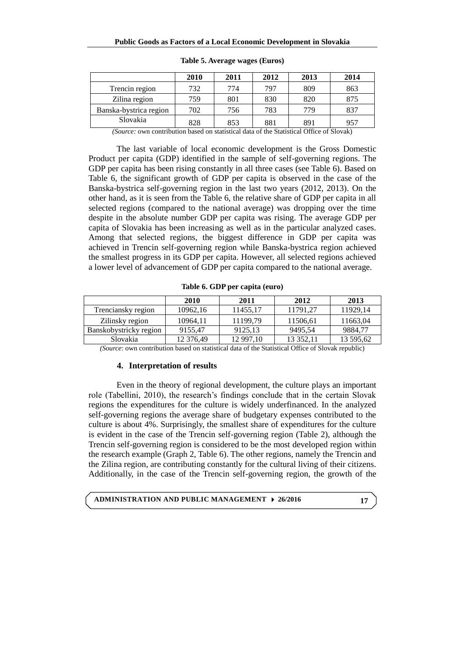|                        | 2010 | 2011 | 2012 | 2013 | 2014 |
|------------------------|------|------|------|------|------|
| Trencin region         | 732  | 774  | 797  | 809  | 863  |
| Zilina region          | 759  | 801  | 830  | 820  | 875  |
| Banska-bystrica region | 702  | 756  | 783  | 779  | 837  |
| Slovakia               | 828  | 853  | 881  | 891  | 957  |

**Table 5. Average wages (Euros)**

*(Source:* own contribution based on statistical data of the Statistical Office of Slovak)

The last variable of local economic development is the Gross Domestic Product per capita (GDP) identified in the sample of self-governing regions. The GDP per capita has been rising constantly in all three cases (see Table 6). Based on Table 6, the significant growth of GDP per capita is observed in the case of the Banska-bystrica self-governing region in the last two years (2012, 2013). On the other hand, as it is seen from the Table 6, the relative share of GDP per capita in all selected regions (compared to the national average) was dropping over the time despite in the absolute number GDP per capita was rising. The average GDP per capita of Slovakia has been increasing as well as in the particular analyzed cases. Among that selected regions, the biggest difference in GDP per capita was achieved in Trencin self-governing region while Banska-bystrica region achieved the smallest progress in its GDP per capita. However, all selected regions achieved a lower level of advancement of GDP per capita compared to the national average.

|                        | 2010      | 2011      | 2012      | 2013      |
|------------------------|-----------|-----------|-----------|-----------|
| Trenciansky region     | 10962.16  | 11455.17  | 11791.27  | 11929.14  |
| Zilinsky region        | 10964.11  | 11199.79  | 11506,61  | 11663,04  |
| Banskobystricky region | 9155.47   | 9125.13   | 9495.54   | 9884.77   |
| Slovakia               | 12 376,49 | 12 997,10 | 13 352,11 | 13 595,62 |

**Table 6. GDP per capita (euro)**

*(Source*: own contribution based on statistical data of the Statistical Office of Slovak republic)

### **4. Interpretation of results**

Even in the theory of regional development, the culture plays an important role (Tabellini, 2010), the research's findings conclude that in the certain Slovak regions the expenditures for the culture is widely underfinanced. In the analyzed self-governing regions the average share of budgetary expenses contributed to the culture is about 4%. Surprisingly, the smallest share of expenditures for the culture is evident in the case of the Trencin self-governing region (Table 2), although the Trencin self-governing region is considered to be the most developed region within the research example (Graph 2, Table 6). The other regions, namely the Trencin and the Zilina region, are contributing constantly for the cultural living of their citizens. Additionally, in the case of the Trencin self-governing region, the growth of the

**ADMINISTRATION AND PUBLIC MANAGEMENT 26/2016**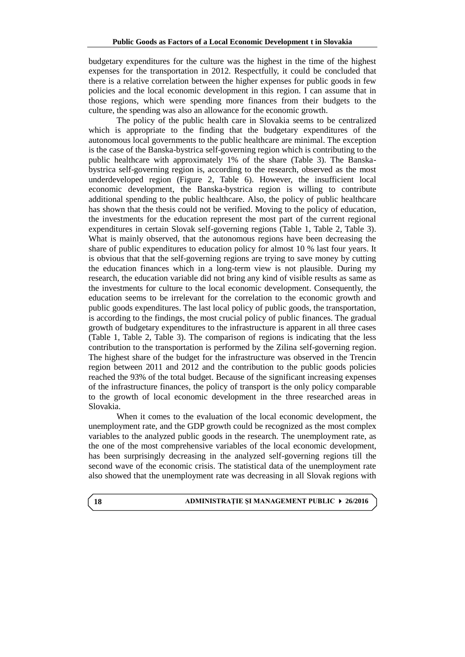budgetary expenditures for the culture was the highest in the time of the highest expenses for the transportation in 2012. Respectfully, it could be concluded that there is a relative correlation between the higher expenses for public goods in few policies and the local economic development in this region. I can assume that in those regions, which were spending more finances from their budgets to the culture, the spending was also an allowance for the economic growth.

The policy of the public health care in Slovakia seems to be centralized which is appropriate to the finding that the budgetary expenditures of the autonomous local governments to the public healthcare are minimal. The exception is the case of the Banska-bystrica self-governing region which is contributing to the public healthcare with approximately 1% of the share (Table 3). The Banskabystrica self-governing region is, according to the research, observed as the most underdeveloped region (Figure 2, Table 6). However, the insufficient local economic development, the Banska-bystrica region is willing to contribute additional spending to the public healthcare. Also, the policy of public healthcare has shown that the thesis could not be verified. Moving to the policy of education, the investments for the education represent the most part of the current regional expenditures in certain Slovak self-governing regions (Table 1, Table 2, Table 3). What is mainly observed, that the autonomous regions have been decreasing the share of public expenditures to education policy for almost 10 % last four years. It is obvious that that the self-governing regions are trying to save money by cutting the education finances which in a long-term view is not plausible. During my research, the education variable did not bring any kind of visible results as same as the investments for culture to the local economic development. Consequently, the education seems to be irrelevant for the correlation to the economic growth and public goods expenditures. The last local policy of public goods, the transportation, is according to the findings, the most crucial policy of public finances. The gradual growth of budgetary expenditures to the infrastructure is apparent in all three cases (Table 1, Table 2, Table 3). The comparison of regions is indicating that the less contribution to the transportation is performed by the Zilina self-governing region. The highest share of the budget for the infrastructure was observed in the Trencin region between 2011 and 2012 and the contribution to the public goods policies reached the 93% of the total budget. Because of the significant increasing expenses of the infrastructure finances, the policy of transport is the only policy comparable to the growth of local economic development in the three researched areas in Slovakia.

When it comes to the evaluation of the local economic development, the unemployment rate, and the GDP growth could be recognized as the most complex variables to the analyzed public goods in the research. The unemployment rate, as the one of the most comprehensive variables of the local economic development, has been surprisingly decreasing in the analyzed self-governing regions till the second wave of the economic crisis. The statistical data of the unemployment rate also showed that the unemployment rate was decreasing in all Slovak regions with

**18**

#### **ADMINISTRAŢIE ŞI MANAGEMENT PUBLIC 26/2016**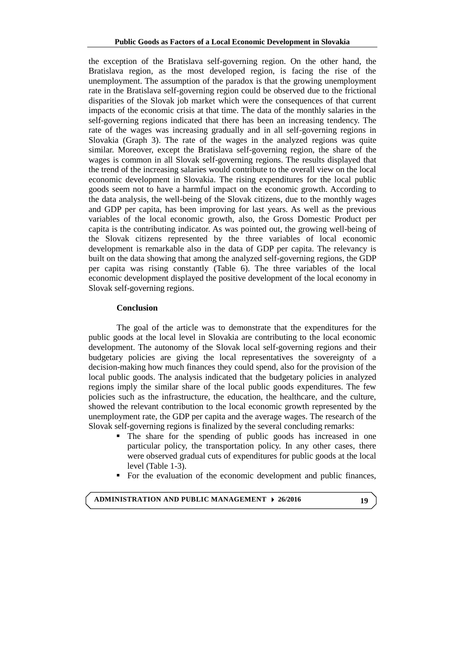the exception of the Bratislava self-governing region. On the other hand, the Bratislava region, as the most developed region, is facing the rise of the unemployment. The assumption of the paradox is that the growing unemployment rate in the Bratislava self-governing region could be observed due to the frictional disparities of the Slovak job market which were the consequences of that current impacts of the economic crisis at that time. The data of the monthly salaries in the self-governing regions indicated that there has been an increasing tendency. The rate of the wages was increasing gradually and in all self-governing regions in Slovakia (Graph 3). The rate of the wages in the analyzed regions was quite similar. Moreover, except the Bratislava self-governing region, the share of the wages is common in all Slovak self-governing regions. The results displayed that the trend of the increasing salaries would contribute to the overall view on the local economic development in Slovakia. The rising expenditures for the local public goods seem not to have a harmful impact on the economic growth. According to the data analysis, the well-being of the Slovak citizens, due to the monthly wages and GDP per capita, has been improving for last years. As well as the previous variables of the local economic growth, also, the Gross Domestic Product per capita is the contributing indicator. As was pointed out, the growing well-being of the Slovak citizens represented by the three variables of local economic development is remarkable also in the data of GDP per capita. The relevancy is built on the data showing that among the analyzed self-governing regions, the GDP per capita was rising constantly (Table 6). The three variables of the local economic development displayed the positive development of the local economy in Slovak self-governing regions.

### **Conclusion**

The goal of the article was to demonstrate that the expenditures for the public goods at the local level in Slovakia are contributing to the local economic development. The autonomy of the Slovak local self-governing regions and their budgetary policies are giving the local representatives the sovereignty of a decision-making how much finances they could spend, also for the provision of the local public goods. The analysis indicated that the budgetary policies in analyzed regions imply the similar share of the local public goods expenditures. The few policies such as the infrastructure, the education, the healthcare, and the culture, showed the relevant contribution to the local economic growth represented by the unemployment rate, the GDP per capita and the average wages. The research of the Slovak self-governing regions is finalized by the several concluding remarks:

- The share for the spending of public goods has increased in one particular policy, the transportation policy. In any other cases, there were observed gradual cuts of expenditures for public goods at the local level (Table 1-3).
- For the evaluation of the economic development and public finances,

**ADMINISTRATION AND PUBLIC MANAGEMENT 26/2016**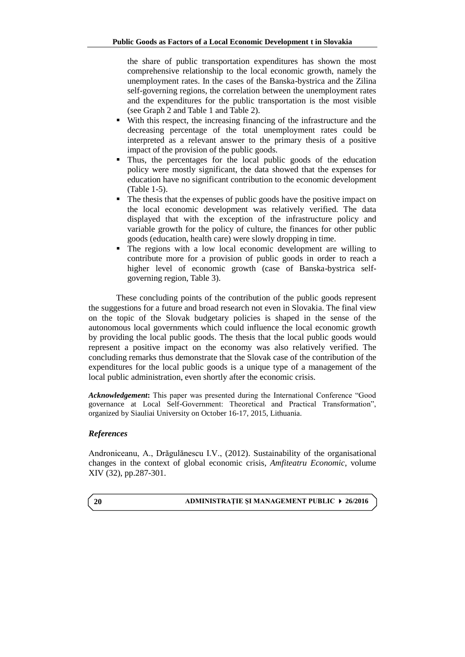the share of public transportation expenditures has shown the most comprehensive relationship to the local economic growth, namely the unemployment rates. In the cases of the Banska-bystrica and the Zilina self-governing regions, the correlation between the unemployment rates and the expenditures for the public transportation is the most visible (see Graph 2 and Table 1 and Table 2).

- With this respect, the increasing financing of the infrastructure and the decreasing percentage of the total unemployment rates could be interpreted as a relevant answer to the primary thesis of a positive impact of the provision of the public goods.
- Thus, the percentages for the local public goods of the education policy were mostly significant, the data showed that the expenses for education have no significant contribution to the economic development (Table 1-5).
- The thesis that the expenses of public goods have the positive impact on the local economic development was relatively verified. The data displayed that with the exception of the infrastructure policy and variable growth for the policy of culture, the finances for other public goods (education, health care) were slowly dropping in time.
- The regions with a low local economic development are willing to contribute more for a provision of public goods in order to reach a higher level of economic growth (case of Banska-bystrica selfgoverning region, Table 3).

These concluding points of the contribution of the public goods represent the suggestions for a future and broad research not even in Slovakia. The final view on the topic of the Slovak budgetary policies is shaped in the sense of the autonomous local governments which could influence the local economic growth by providing the local public goods. The thesis that the local public goods would represent a positive impact on the economy was also relatively verified. The concluding remarks thus demonstrate that the Slovak case of the contribution of the expenditures for the local public goods is a unique type of a management of the local public administration, even shortly after the economic crisis.

*Acknowledgement***:** This paper was presented during the International Conference "Good governance at Local Self-Government: Theoretical and Practical Transformation", organized by Siauliai University on October 16-17, 2015, Lithuania.

# *References*

Androniceanu, A., Drăgulănescu I.V., (2012). Sustainability of the organisational changes in the context of global economic crisis*, Amfiteatru Economic*, volume XIV (32), pp.287-301.

#### **ADMINISTRAŢIE ŞI MANAGEMENT PUBLIC 26/2016**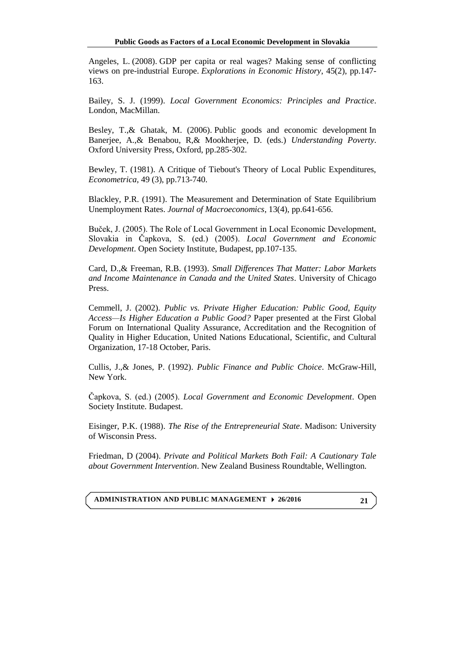[Angeles, L.](http://eprints.gla.ac.uk/view/author/7824.html) (2008). [GDP per capita or real wages? Making sense of conflicting](http://eprints.gla.ac.uk/40493/)  [views on pre-industrial Europe.](http://eprints.gla.ac.uk/40493/) *[Explorations in Economic History](http://eprints.gla.ac.uk/view/journal_volume/Explorations_in_Economic_History.html)*, 45(2), pp.147- 163.

Bailey, S. J. (1999). *Local Government Economics: Principles and Practice*. London, MacMillan.

Besley, T.,& Ghatak, M. (2006). [Public goods and economic development](http://eprints.lse.ac.uk/5874/) In Banerjee, A.,& Benabou, R,& Mookherjee, D. (eds.) *Understanding Poverty*. Oxford University Press, Oxford, pp.285-302.

Bewley, T. (1981). A Critique of Tiebout's Theory of Local Public Expenditures, *Econometrica*, 49 (3), pp.713-740.

Blackley, P.R. (1991). The Measurement and Determination of State Equilibrium Unemployment Rates. *Journal of Macroeconomics*, 13(4), pp.641-656.

Buček, J. (2005). The Role of Local Government in Local Economic Development, Slovakia in Čapkova, S. (ed.) (2005). *Local Government and Economic Development*. Open Society Institute, Budapest, pp.107-135.

Card, D.,& Freeman, R.B. (1993). *Small Differences That Matter: Labor Markets and Income Maintenance in Canada and the United States*. University of Chicago Press.

Cemmell, J. (2002). *Public vs. Private Higher Education: Public Good, Equity Access—Is Higher Education a Public Good?* Paper presented at the First Global Forum on International Quality Assurance, Accreditation and the Recognition of Quality in Higher Education, United Nations Educational, Scientific, and Cultural Organization, 17-18 October, Paris.

Cullis, J.,& Jones, P. (1992). *Public Finance and Public Choice*. McGraw-Hill, New York.

Čapkova, S. (ed.) (2005). *Local Government and Economic Development*. Open Society Institute. Budapest.

Eisinger, P.K. (1988). *The Rise of the Entrepreneurial State*. Madison: University of Wisconsin Press.

Friedman, D (2004). *Private and Political Markets Both Fail: A Cautionary Tale about Government Intervention*. New Zealand Business Roundtable, Wellington.

**ADMINISTRATION AND PUBLIC MANAGEMENT 26/2016**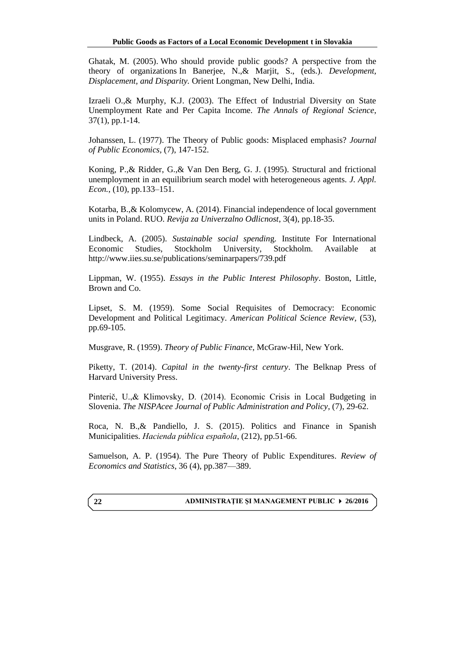Ghatak, M. (2005). [Who should provide public goods? A perspective from the](http://eprints.lse.ac.uk/5903/)  [theory of organizations](http://eprints.lse.ac.uk/5903/) In Banerjee, N.,& Marjit, S., (eds.). *Development, Displacement, and Disparity.* Orient Longman, New Delhi, India.

Izraeli O.,& Murphy, K.J. (2003). The Effect of Industrial Diversity on State Unemployment Rate and Per Capita Income. *The Annals of Regional Science*, 37(1), pp.1-14.

Johanssen, L. (1977). The Theory of Public goods: Misplaced emphasis? *Journal of Public Economics,* (7), 147-152.

Koning, P.,& Ridder, G.,& Van Den Berg, G. J. (1995). Structural and frictional unemployment in an equilibrium search model with heterogeneous agents. *J. Appl. Econ.*, (10), pp.133–151.

Kotarba, B.,& Kolomycew, A. (2014). Financial independence of local government units in Poland. RUO. *Revija za Univerzalno Odlicnost*, 3(4), pp.18-35.

Lindbeck, A. (2005). *Sustainable social spendin*g. Institute For International Economic Studies, Stockholm University, Stockholm. Available at <http://www.iies.su.se/publications/seminarpapers/739.pdf>

Lippman, W. (1955). *Essays in the Public Interest Philosophy*. Boston, Little, Brown and Co.

Lipset, S. M. (1959). Some Social Requisites of Democracy: Economic Development and Political Legitimacy. *American Political Science Review,* (53), pp.69-105.

Musgrave, R. (1959). *Theory of Public Finance*, McGraw-Hil, New York.

Piketty, T. (2014). *Capital in the twenty-first century*. The Belknap Press of Harvard University Press.

Pinterič, U.,& Klimovsky, D. (2014). Economic Crisis in Local Budgeting in Slovenia. *The NISPAcee Journal of Public Administration and Policy*, (7), 29-62.

Roca, N. B.,& Pandiello, J. S. (2015). Politics and Finance in Spanish Municipalities. *Hacienda pública española*, (212), pp.51-66.

Samuelson, A. P. (1954). The Pure Theory of Public Expenditures. *Review of Economics and Statistics*, 36 (4), pp.387—389.

#### **ADMINISTRAŢIE ŞI MANAGEMENT PUBLIC 26/2016**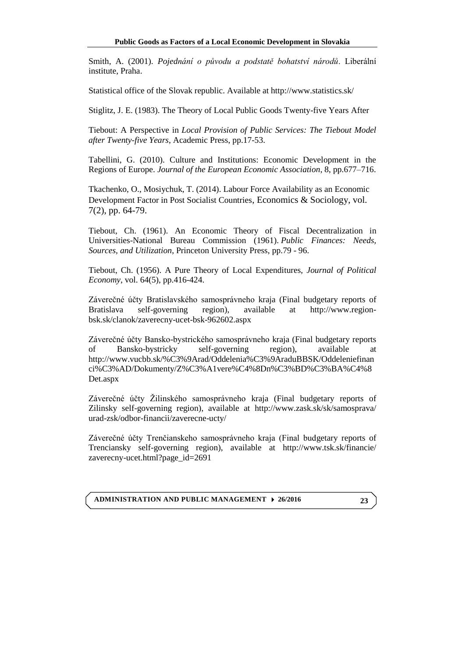Smith, A. (2001). *Pojednání o původu a podstatě bohatství národů*. Liberální institute, Praha.

Statistical office of the Slovak republic. Available at http://www.statistics.sk/

Stiglitz, J. E. (1983). The Theory of Local Public Goods Twenty-five Years After

Tiebout: A Perspective in *Local Provision of Public Services: The Tiebout Model after Twenty-five Years*, Academic Press, pp.17-53.

Tabellini, G. (2010). Culture and Institutions: Economic Development in the Regions of Europe. *Journal of the European Economic Association*, 8, pp.677–716.

Tkachenko, O., Mosiychuk, T. (2014). Labour Force Availability as an Economic Development Factor in Post Socialist Countries, Economics & Sociology, vol. 7(2), pp. 64-79.

Tiebout, Ch. (1961). An Economic Theory of Fiscal Decentralization in Universities-National Bureau Commission (1961). *[Public Finances: Needs,](http://www.nber.org/books/univ61-1)  [Sources, and Utilization](http://www.nber.org/books/univ61-1)*, Princeton University Press, pp.79 - 96.

Tiebout, Ch. (1956). A Pure Theory of Local Expenditures, *Journal of Political Economy*, vol. 64(5), pp.416-424.

Záverečné účty Bratislavského samosprávneho kraja (Final budgetary reports of Bratislava self-governing region), available at [http://www.region](http://www.region-bsk.sk/clanok/zaverecny-ucet-bsk-962602.aspx)[bsk.sk/clanok/zaverecny-ucet-bsk-962602.aspx](http://www.region-bsk.sk/clanok/zaverecny-ucet-bsk-962602.aspx)

Záverečné účty Bansko-bystrického samosprávneho kraja (Final budgetary reports of Bansko-bystricky self-governing region), available at [http://www.vucbb.sk/%C3%9Arad/Oddelenia%C3%9AraduBBSK/Oddeleniefinan](http://www.vucbb.sk/%C3%9Arad/Oddelenia%C3%9AraduBBSK/Oddeleniefinanci%C3%AD/Dokumenty/Z%C3%A1vere%C4%8Dn%C3%BD%C3%BA%C4%8Det.aspx) [ci%C3%AD/Dokumenty/Z%C3%A1vere%C4%8Dn%C3%BD%C3%BA%C4%8](http://www.vucbb.sk/%C3%9Arad/Oddelenia%C3%9AraduBBSK/Oddeleniefinanci%C3%AD/Dokumenty/Z%C3%A1vere%C4%8Dn%C3%BD%C3%BA%C4%8Det.aspx) [Det.aspx](http://www.vucbb.sk/%C3%9Arad/Oddelenia%C3%9AraduBBSK/Oddeleniefinanci%C3%AD/Dokumenty/Z%C3%A1vere%C4%8Dn%C3%BD%C3%BA%C4%8Det.aspx)

Záverečné účty Žilinského samosprávneho kraja (Final budgetary reports of Zilinsky self-governing region), available at [http://www.zask.sk/sk/samosprava/](http://www.zask.sk/sk/samosprava/urad-zsk/odbor-financii/zaverecne-ucty/) [urad-zsk/odbor-financii/zaverecne-ucty/](http://www.zask.sk/sk/samosprava/urad-zsk/odbor-financii/zaverecne-ucty/)

Záverečné účty Trenčianskeho samosprávneho kraja (Final budgetary reports of Trenciansky self-governing region), available at [http://www.tsk.sk/financie/](http://www.tsk.sk/financie/zaverecny-ucet.html?page_id=2691) [zaverecny-ucet.html?page\\_id=2691](http://www.tsk.sk/financie/zaverecny-ucet.html?page_id=2691)

**ADMINISTRATION AND PUBLIC MANAGEMENT 26/2016**